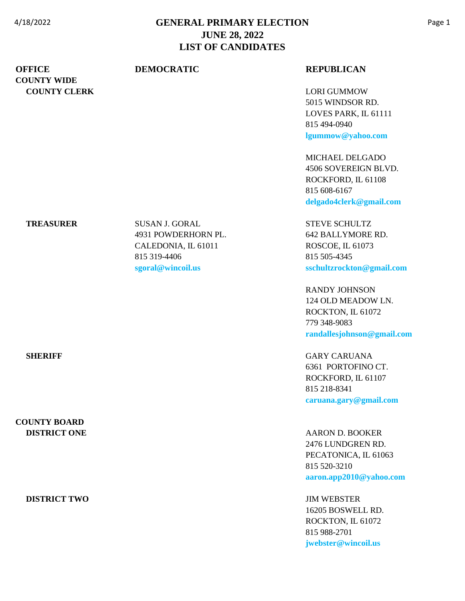|                                     | LIST OF CANDIDATES    |                                            |
|-------------------------------------|-----------------------|--------------------------------------------|
| <b>OFFICE</b><br><b>COUNTY WIDE</b> | <b>DEMOCRATIC</b>     | <b>REPUBLICAN</b>                          |
| <b>COUNTY CLERK</b>                 |                       | <b>LORI GUMMOW</b>                         |
|                                     |                       | 5015 WINDSOR RD.                           |
|                                     |                       | LOVES PARK, IL 61111                       |
|                                     |                       | 815 494-0940                               |
|                                     |                       | lgummow@yahoo.com                          |
|                                     |                       | MICHAEL DELGADO                            |
|                                     |                       | 4506 SOVEREIGN BLVD.                       |
|                                     |                       | ROCKFORD, IL 61108                         |
|                                     |                       | 815 608-6167                               |
|                                     |                       | delgado4clerk@gmail.com                    |
| <b>TREASURER</b>                    | <b>SUSAN J. GORAL</b> | <b>STEVE SCHULTZ</b>                       |
|                                     | 4931 POWDERHORN PL.   | 642 BALLYMORE RD.                          |
|                                     | CALEDONIA, IL 61011   | ROSCOE, IL 61073                           |
|                                     | 815 319-4406          | 815 505-4345                               |
|                                     | sgoral@wincoil.us     | sschultzrockton@gmail.com                  |
|                                     |                       | <b>RANDY JOHNSON</b>                       |
|                                     |                       | 124 OLD MEADOW LN.                         |
|                                     |                       | ROCKTON, IL 61072                          |
|                                     |                       | 779 348-9083<br>randallesjohnson@gmail.com |
|                                     |                       |                                            |
| <b>SHERIFF</b>                      |                       | <b>GARY CARUANA</b>                        |
|                                     |                       | 6361 PORTOFINO CT.                         |
|                                     |                       | ROCKFORD, IL 61107                         |
|                                     |                       | 815 218-8341                               |
|                                     |                       | caruana.gary@gmail.com                     |
| <b>COUNTY BOARD</b>                 |                       |                                            |
| <b>DISTRICT ONE</b>                 |                       | <b>AARON D. BOOKER</b>                     |
|                                     |                       | 2476 LUNDGREN RD.                          |
|                                     |                       | PECATONICA, IL 61063                       |
|                                     |                       | 815 520-3210                               |
|                                     |                       | aaron.app2010@yahoo.com                    |
| <b>DISTRICT TWO</b>                 |                       | <b>JIM WEBSTER</b>                         |
|                                     |                       | 16205 BOSWELL RD.                          |
|                                     |                       | ROCKTON, IL 61072                          |
|                                     |                       | 815 988-2701                               |
|                                     |                       | jwebster@wincoil.us                        |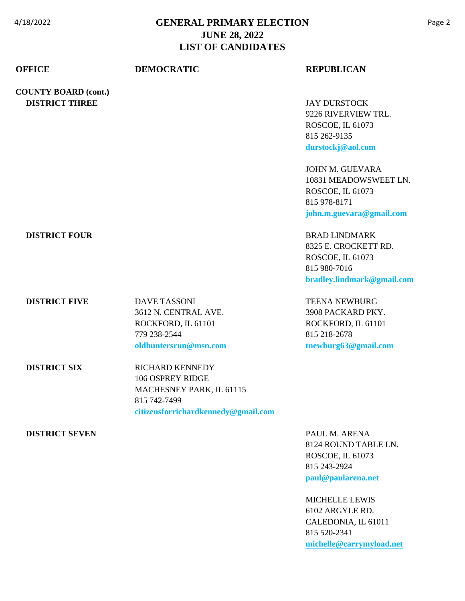| <b>OFFICE</b>               | <b>DEMOCRATIC</b>                   | <b>REPUBLICAN</b>                    |
|-----------------------------|-------------------------------------|--------------------------------------|
| <b>COUNTY BOARD (cont.)</b> |                                     |                                      |
| <b>DISTRICT THREE</b>       |                                     | <b>JAY DURSTOCK</b>                  |
|                             |                                     | 9226 RIVERVIEW TRL.                  |
|                             |                                     | ROSCOE, IL 61073                     |
|                             |                                     | 815 262-9135                         |
|                             |                                     | durstockj@aol.com                    |
|                             |                                     | JOHN M. GUEVARA                      |
|                             |                                     | 10831 MEADOWSWEET LN.                |
|                             |                                     | ROSCOE, IL 61073                     |
|                             |                                     | 815 978-8171                         |
|                             |                                     | john.m.guevara@gmail.com             |
| <b>DISTRICT FOUR</b>        |                                     | <b>BRAD LINDMARK</b>                 |
|                             |                                     | 8325 E. CROCKETT RD.                 |
|                             |                                     | ROSCOE, IL 61073                     |
|                             |                                     | 815 980-7016                         |
|                             |                                     | bradley.lindmark@gmail.com           |
| <b>DISTRICT FIVE</b>        | <b>DAVE TASSONI</b>                 | <b>TEENA NEWBURG</b>                 |
|                             | 3612 N. CENTRAL AVE.                | 3908 PACKARD PKY.                    |
|                             | ROCKFORD, IL 61101                  | ROCKFORD, IL 61101                   |
|                             | 779 238-2544                        | 815 218-2678                         |
|                             | oldhuntersrun@msn.com               | tnewburg63@gmail.com                 |
| <b>DISTRICT SIX</b>         | <b>RICHARD KENNEDY</b>              |                                      |
|                             | 106 OSPREY RIDGE                    |                                      |
|                             | MACHESNEY PARK, IL 61115            |                                      |
|                             | 815 742-7499                        |                                      |
|                             | citizensforrichardkennedy@gmail.com |                                      |
| <b>DISTRICT SEVEN</b>       |                                     | PAUL M. ARENA<br>8124 ROUND TABLE LN |

8124 ROUND TABLE LN. ROSCOE, IL 61073 815 243-2924 **[paul@paularena.net](mailto:paul@paularena.net)**

### MICHELLE LEWIS 6102 ARGYLE RD. CALEDONIA, IL 61011 815 520-2341 **[michelle@carrymyload.net](mailto:michelle@carrymyload.net)**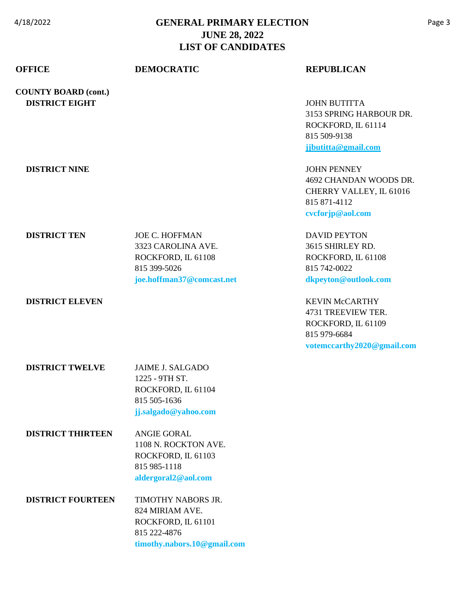| <b>OFFICE</b>                                        | <b>DEMOCRATIC</b>                                                                                              | <b>REPUBLICAN</b>                                                                                               |
|------------------------------------------------------|----------------------------------------------------------------------------------------------------------------|-----------------------------------------------------------------------------------------------------------------|
| <b>COUNTY BOARD (cont.)</b><br><b>DISTRICT EIGHT</b> |                                                                                                                | <b>JOHN BUTITTA</b><br>3153 SPRING HARBOUR DR.<br>ROCKFORD, IL 61114<br>815 509-9138<br>jjbutitta@gmail.com     |
| <b>DISTRICT NINE</b>                                 |                                                                                                                | <b>JOHN PENNEY</b><br>4692 CHANDAN WOODS DR.<br>CHERRY VALLEY, IL 61016<br>815 871-4112<br>cvcforjp@aol.com     |
| <b>DISTRICT TEN</b>                                  | <b>JOE C. HOFFMAN</b><br>3323 CAROLINA AVE.<br>ROCKFORD, IL 61108<br>815 399-5026<br>joe.hoffman37@comcast.net | <b>DAVID PEYTON</b><br>3615 SHIRLEY RD.<br>ROCKFORD, IL 61108<br>815 742-0022<br>dkpeyton@outlook.com           |
| <b>DISTRICT ELEVEN</b>                               |                                                                                                                | <b>KEVIN McCARTHY</b><br>4731 TREEVIEW TER.<br>ROCKFORD, IL 61109<br>815 979-6684<br>votemccarthy2020@gmail.com |
| <b>DISTRICT TWELVE</b>                               | <b>JAIME J. SALGADO</b><br>1225 - 9TH ST.<br>ROCKFORD, IL 61104<br>815 505-1636<br>jj.salgado@yahoo.com        |                                                                                                                 |
| <b>DISTRICT THIRTEEN</b>                             | <b>ANGIE GORAL</b><br>1108 N. ROCKTON AVE.<br>ROCKFORD, IL 61103<br>815 985-1118<br>aldergoral2@aol.com        |                                                                                                                 |
| <b>DISTRICT FOURTEEN</b>                             | TIMOTHY NABORS JR.<br>824 MIRIAM AVE.<br>ROCKFORD, IL 61101<br>815 222-4876<br>timothy.nabors.10@gmail.com     |                                                                                                                 |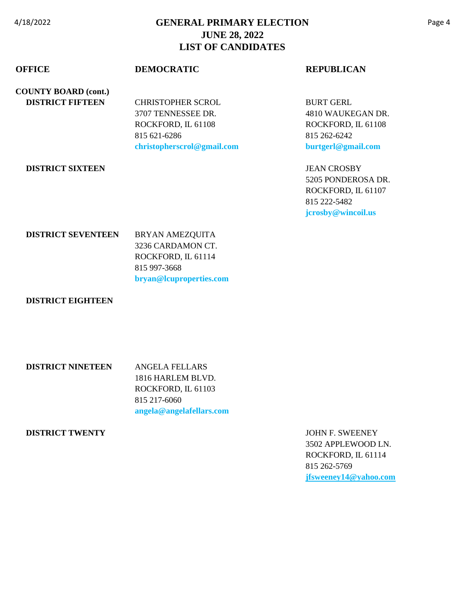| <b>OFFICE</b>               | <b>DEMOCRATIC</b>          | <b>REPUBLICAN</b>  |
|-----------------------------|----------------------------|--------------------|
| <b>COUNTY BOARD (cont.)</b> |                            |                    |
| <b>DISTRICT FIFTEEN</b>     | <b>CHRISTOPHER SCROL</b>   | <b>BURT GERL</b>   |
|                             | 3707 TENNESSEE DR.         | 4810 WAUKEGAN DR.  |
|                             | ROCKFORD, IL 61108         | ROCKFORD, IL 61108 |
|                             | 815 621-6286               | 815 262-6242       |
|                             | christopherscrol@gmail.com | burtgerl@gmail.com |
| <b>DISTRICT SIXTEEN</b>     |                            | <b>JEAN CROSBY</b> |
|                             |                            | 5205 PONDEROSA DR. |
|                             |                            | ROCKFORD, IL 61107 |
|                             |                            | 815 222-5482       |
|                             |                            | jcrosby@wincoil.us |
| <b>DISTRICT SEVENTEEN</b>   | BRYAN AMEZQUITA            |                    |
|                             | 3236 CARDAMON CT.          |                    |
|                             |                            |                    |

ROCKFORD, IL 61114 815 997-3668 **[bryan@lcuproperties.com](mailto:bryan@lcuproperties.com)**

#### **DISTRICT EIGHTEEN**

| <b>DISTRICT NINETEEN</b> | ANGELA FELLARS           |
|--------------------------|--------------------------|
|                          | 1816 HARLEM BLVD.        |
|                          | ROCKFORD. IL 61103       |
|                          | 815 217-6060             |
|                          | angela@angelafellars.com |

#### **DISTRICT TWENTY** JOHN F. SWEENEY

3502 APPLEWOOD LN. ROCKFORD, IL 61114 815 262-5769 **[jfsweeney14@yahoo.com](mailto:jfsweeney14@yahoo.com)**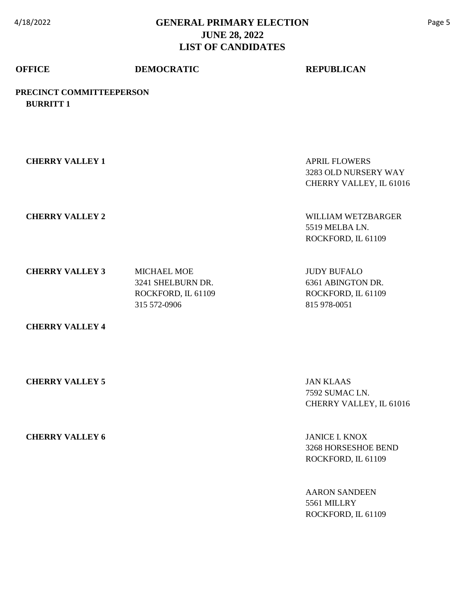## **OFFICE DEMOCRATIC REPUBLICAN**

**PRECINCT COMMITTEEPERSON BURRITT 1**

| <b>CHERRY VALLEY 1</b> |                                                                               | <b>APRIL FLOWERS</b><br>3283 OLD NURSERY WAY<br>CHERRY VALLEY, IL 61016       |
|------------------------|-------------------------------------------------------------------------------|-------------------------------------------------------------------------------|
| <b>CHERRY VALLEY 2</b> |                                                                               | WILLIAM WETZBARGER<br>5519 MELBA LN.<br>ROCKFORD, IL 61109                    |
| <b>CHERRY VALLEY 3</b> | <b>MICHAEL MOE</b><br>3241 SHELBURN DR.<br>ROCKFORD, IL 61109<br>315 572-0906 | <b>JUDY BUFALO</b><br>6361 ABINGTON DR.<br>ROCKFORD, IL 61109<br>815 978-0051 |
| <b>CHERRY VALLEY 4</b> |                                                                               |                                                                               |

 **CHERRY VALLEY 5** JAN KLAAS

7592 SUMAC LN. CHERRY VALLEY, IL 61016

**CHERRY VALLEY 6** JANICE I. KNOX 3268 HORSESHOE BEND ROCKFORD, IL 61109

> AARON SANDEEN 5561 MILLRY ROCKFORD, IL 61109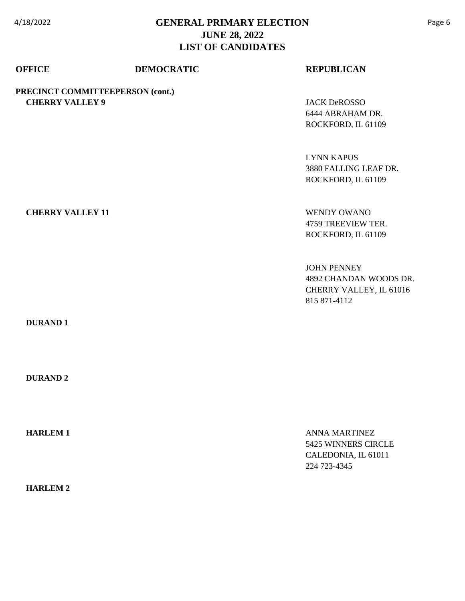| <b>OFFICE</b>           | <b>DEMOCRATIC</b>                | <b>REPUBLICAN</b>       |
|-------------------------|----------------------------------|-------------------------|
|                         | PRECINCT COMMITTEEPERSON (cont.) |                         |
| <b>CHERRY VALLEY 9</b>  |                                  | <b>JACK DeROSSO</b>     |
|                         |                                  | 6444 ABRAHAM DR.        |
|                         |                                  | ROCKFORD, IL 61109      |
|                         |                                  | <b>LYNN KAPUS</b>       |
|                         |                                  | 3880 FALLING LEAF DR.   |
|                         |                                  | ROCKFORD, IL 61109      |
|                         |                                  |                         |
| <b>CHERRY VALLEY 11</b> |                                  | <b>WENDY OWANO</b>      |
|                         |                                  | 4759 TREEVIEW TER.      |
|                         |                                  | ROCKFORD, IL 61109      |
|                         |                                  | <b>JOHN PENNEY</b>      |
|                         |                                  | 4892 CHANDAN WOODS DR.  |
|                         |                                  | CHERRY VALLEY, IL 61016 |

 **DURAND 1**

 **DURAND 2**

**HARLEM 1** ANNA MARTINEZ

 **HARLEM 2**

5425 WINNERS CIRCLE CALEDONIA, IL 61011 224 723-4345

815 871-4112

Page 6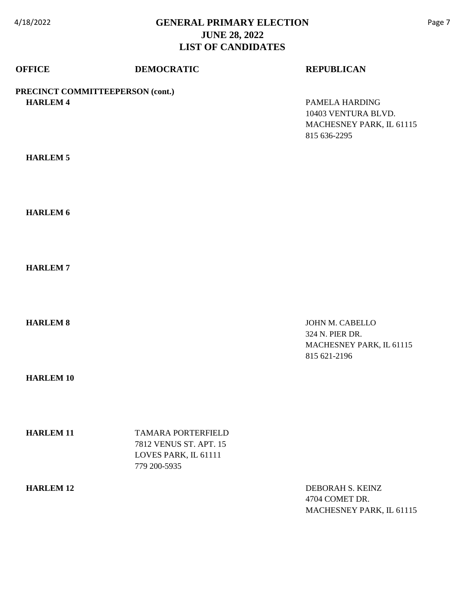| <b>OFFICE</b>                                       | <b>DEMOCRATIC</b>                                                                           | <b>REPUBLICAN</b>                                                                 |
|-----------------------------------------------------|---------------------------------------------------------------------------------------------|-----------------------------------------------------------------------------------|
| PRECINCT COMMITTEEPERSON (cont.)<br><b>HARLEM 4</b> |                                                                                             | PAMELA HARDING<br>10403 VENTURA BLVD.<br>MACHESNEY PARK, IL 61115<br>815 636-2295 |
| <b>HARLEM 5</b>                                     |                                                                                             |                                                                                   |
| <b>HARLEM 6</b>                                     |                                                                                             |                                                                                   |
| <b>HARLEM7</b>                                      |                                                                                             |                                                                                   |
| <b>HARLEM 8</b>                                     |                                                                                             | JOHN M. CABELLO<br>324 N. PIER DR.<br>MACHESNEY PARK, IL 61115<br>815 621-2196    |
| <b>HARLEM 10</b>                                    |                                                                                             |                                                                                   |
| <b>HARLEM 11</b>                                    | <b>TAMARA PORTERFIELD</b><br>7812 VENUS ST. APT. 15<br>LOVES PARK, IL 61111<br>779 200-5935 |                                                                                   |
| <b>HARLEM 12</b>                                    |                                                                                             | DEBORAH S. KEINZ<br>4704 COMET DR.<br>MACHESNEY PARK, IL 61115                    |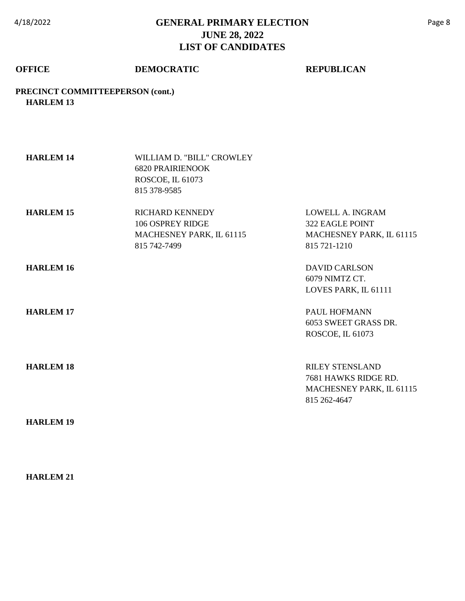### **OFFICE DEMOCRATIC REPUBLICAN**

**PRECINCT COMMITTEEPERSON (cont.) HARLEM 13**

| <b>HARLEM 14</b> | WILLIAM D. "BILL" CROWLEY<br><b>6820 PRAIRIENOOK</b><br>ROSCOE, IL 61073<br>815 378-9585 |                                                                                            |
|------------------|------------------------------------------------------------------------------------------|--------------------------------------------------------------------------------------------|
| <b>HARLEM 15</b> | <b>RICHARD KENNEDY</b><br>106 OSPREY RIDGE<br>MACHESNEY PARK, IL 61115<br>815 742-7499   | LOWELL A. INGRAM<br>322 EAGLE POINT<br>MACHESNEY PARK, IL 61115<br>815 721-1210            |
| <b>HARLEM 16</b> |                                                                                          | <b>DAVID CARLSON</b><br>6079 NIMTZ CT.<br>LOVES PARK, IL 61111                             |
| <b>HARLEM 17</b> |                                                                                          | PAUL HOFMANN<br>6053 SWEET GRASS DR.<br>ROSCOE, IL 61073                                   |
| <b>HARLEM 18</b> |                                                                                          | <b>RILEY STENSLAND</b><br>7681 HAWKS RIDGE RD.<br>MACHESNEY PARK, IL 61115<br>815 262-4647 |
|                  |                                                                                          |                                                                                            |

 **HARLEM 19**

### **HARLEM 21**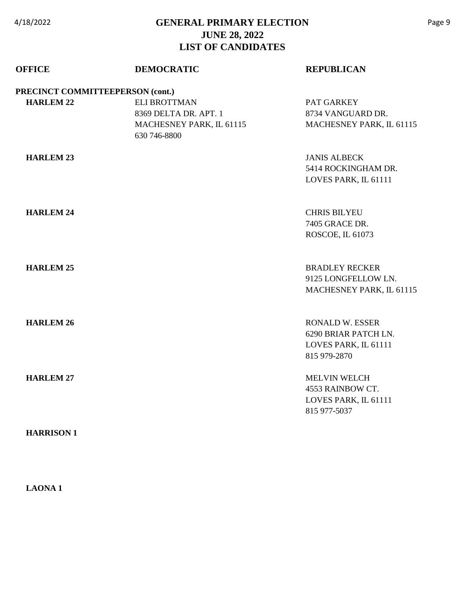| <b>OFFICE</b>                    | <b>DEMOCRATIC</b>                                                                        | <b>REPUBLICAN</b>                                                                      |
|----------------------------------|------------------------------------------------------------------------------------------|----------------------------------------------------------------------------------------|
| PRECINCT COMMITTEEPERSON (cont.) |                                                                                          |                                                                                        |
| <b>HARLEM 22</b>                 | <b>ELI BROTTMAN</b><br>8369 DELTA DR. APT. 1<br>MACHESNEY PARK, IL 61115<br>630 746-8800 | PAT GARKEY<br>8734 VANGUARD DR.<br>MACHESNEY PARK, IL 61115                            |
| <b>HARLEM 23</b>                 |                                                                                          | <b>JANIS ALBECK</b><br>5414 ROCKINGHAM DR.<br>LOVES PARK, IL 61111                     |
| <b>HARLEM 24</b>                 |                                                                                          | <b>CHRIS BILYEU</b><br>7405 GRACE DR.<br>ROSCOE, IL 61073                              |
| <b>HARLEM 25</b>                 |                                                                                          | <b>BRADLEY RECKER</b><br>9125 LONGFELLOW LN.<br>MACHESNEY PARK, IL 61115               |
| <b>HARLEM 26</b>                 |                                                                                          | <b>RONALD W. ESSER</b><br>6290 BRIAR PATCH LN.<br>LOVES PARK, IL 61111<br>815 979-2870 |
| <b>HARLEM 27</b>                 |                                                                                          | <b>MELVIN WELCH</b><br>4553 RAINBOW CT.<br>LOVES PARK, IL 61111<br>815 977-5037        |
| <b>HARRISON1</b>                 |                                                                                          |                                                                                        |

 **LAONA 1**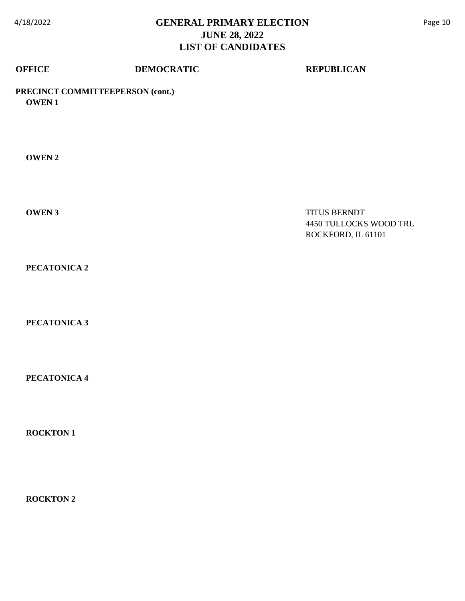| <b>OFFICE</b>   | <b>DEMOCRATIC</b>                | <b>REPUBLICAN</b>                                            |
|-----------------|----------------------------------|--------------------------------------------------------------|
| <b>OWEN1</b>    | PRECINCT COMMITTEEPERSON (cont.) |                                                              |
| <b>OWEN2</b>    |                                  |                                                              |
| <b>OWEN3</b>    |                                  | TITUS BERNDT<br>4450 TULLOCKS WOOD TRL<br>ROCKFORD, IL 61101 |
| PECATONICA 2    |                                  |                                                              |
| PECATONICA 3    |                                  |                                                              |
| PECATONICA 4    |                                  |                                                              |
| <b>ROCKTON1</b> |                                  |                                                              |
|                 |                                  |                                                              |

 **ROCKTON 2**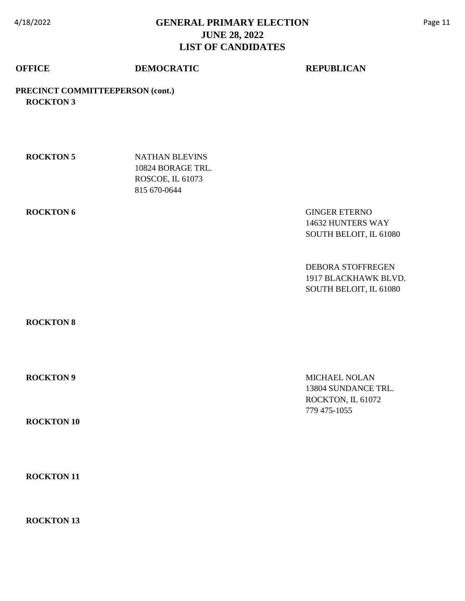### **OFFICE DEMOCRATIC REPUBLICAN**

**PRECINCT COMMITTEEPERSON (cont.) ROCKTON 3**

| <b>ROCKTON 5</b> | NATHAN BLEVINS    |
|------------------|-------------------|
|                  | 10824 BORAGE TRL. |
|                  | ROSCOE, IL 61073  |
|                  | 815 670-0644      |

**ROCKTON 6** GINGER ETERNO 14632 HUNTERS WAY SOUTH BELOIT, IL 61080

> DEBORA STOFFREGEN 1917 BLACKHAWK BLVD. SOUTH BELOIT, IL 61080

 **ROCKTON 8**

 **ROCKTON 10**

 **ROCKTON 11**

 **ROCKTON 13**

**ROCKTON 9** MICHAEL NOLAN 13804 SUNDANCE TRL. ROCKTON, IL 61072 779 475-1055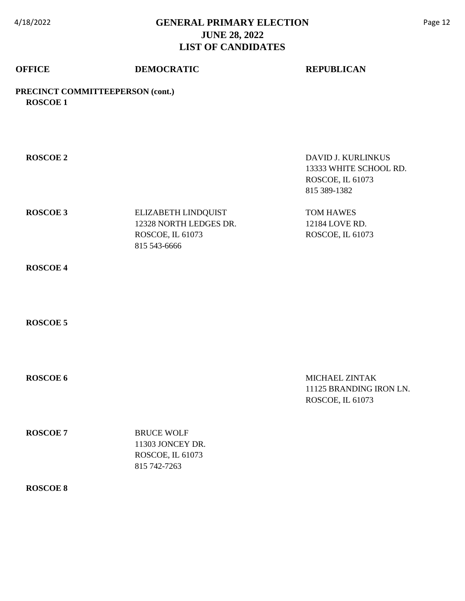# **OFFICE DEMOCRATIC REPUBLICAN**

### **PRECINCT COMMITTEEPERSON (cont.) ROSCOE 1**

| <b>ROSCOE 2</b> |                                                                                   | DAVID J. KURLINKUS<br>13333 WHITE SCHOOL RD.<br>ROSCOE, IL 61073<br>815 389-1382 |
|-----------------|-----------------------------------------------------------------------------------|----------------------------------------------------------------------------------|
| <b>ROSCOE 3</b> | ELIZABETH LINDQUIST<br>12328 NORTH LEDGES DR.<br>ROSCOE, IL 61073<br>815 543-6666 | TOM HAWES<br>12184 LOVE RD.<br>ROSCOE, IL 61073                                  |
| <b>ROSCOE 4</b> |                                                                                   |                                                                                  |
| <b>ROSCOE 5</b> |                                                                                   |                                                                                  |
| <b>ROSCOE 6</b> |                                                                                   | MICHAEL ZINTAK<br>11125 BRANDING IRON LN.<br>ROSCOE, IL 61073                    |
| <b>ROSCOE 7</b> | <b>BRUCE WOLF</b><br>11303 JONCEY DR.<br>ROSCOE, IL 61073<br>815 742-7263         |                                                                                  |
| <b>ROSCOE 8</b> |                                                                                   |                                                                                  |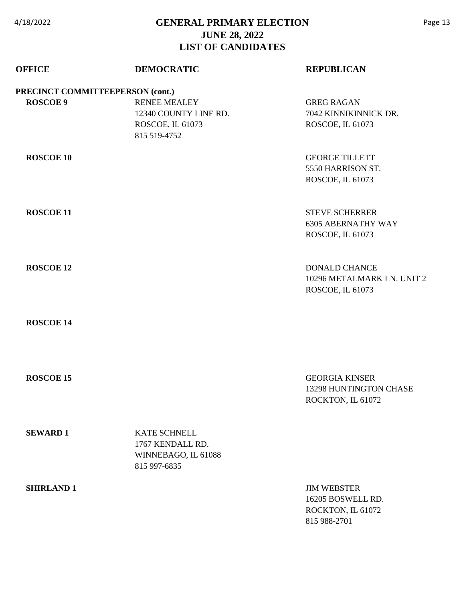| <b>OFFICE</b>                    | <b>DEMOCRATIC</b>                                                                | <b>REPUBLICAN</b>                                                            |
|----------------------------------|----------------------------------------------------------------------------------|------------------------------------------------------------------------------|
| PRECINCT COMMITTEEPERSON (cont.) |                                                                                  |                                                                              |
| <b>ROSCOE 9</b>                  | <b>RENEE MEALEY</b><br>12340 COUNTY LINE RD.<br>ROSCOE, IL 61073<br>815 519-4752 | <b>GREG RAGAN</b><br>7042 KINNIKINNICK DR.<br>ROSCOE, IL 61073               |
| <b>ROSCOE 10</b>                 |                                                                                  | <b>GEORGE TILLETT</b><br>5550 HARRISON ST.<br>ROSCOE, IL 61073               |
| <b>ROSCOE 11</b>                 |                                                                                  | <b>STEVE SCHERRER</b><br><b>6305 ABERNATHY WAY</b><br>ROSCOE, IL 61073       |
| <b>ROSCOE 12</b>                 |                                                                                  | <b>DONALD CHANCE</b><br>10296 METALMARK LN. UNIT 2<br>ROSCOE, IL 61073       |
| <b>ROSCOE 14</b>                 |                                                                                  |                                                                              |
| <b>ROSCOE 15</b>                 |                                                                                  | <b>GEORGIA KINSER</b><br>13298 HUNTINGTON CHASE<br>ROCKTON, IL 61072         |
| <b>SEWARD1</b>                   | <b>KATE SCHNELL</b><br>1767 KENDALL RD.<br>WINNEBAGO, IL 61088<br>815 997-6835   |                                                                              |
| <b>SHIRLAND 1</b>                |                                                                                  | <b>JIM WEBSTER</b><br>16205 BOSWELL RD.<br>ROCKTON, IL 61072<br>815 988-2701 |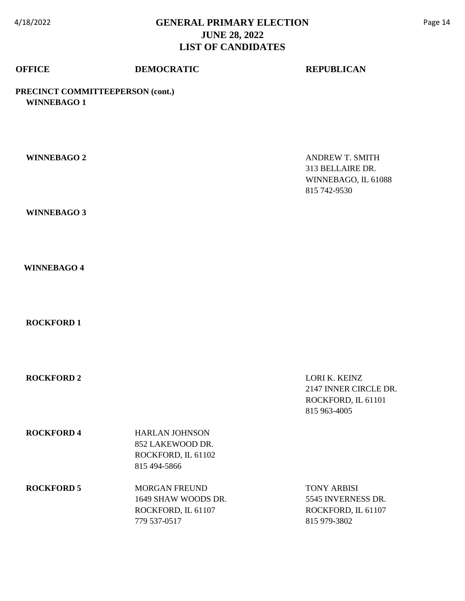## **OFFICE DEMOCRATIC REPUBLICAN**

### **PRECINCT COMMITTEEPERSON (cont.) WINNEBAGO 1**

| <b>WINNEBAGO 2</b> |                                                                                   | <b>ANDREW T. SMITH</b><br>313 BELLAIRE DR.<br>WINNEBAGO, IL 61088<br>815 742-9530 |
|--------------------|-----------------------------------------------------------------------------------|-----------------------------------------------------------------------------------|
| <b>WINNEBAGO 3</b> |                                                                                   |                                                                                   |
| <b>WINNEBAGO 4</b> |                                                                                   |                                                                                   |
| <b>ROCKFORD 1</b>  |                                                                                   |                                                                                   |
| <b>ROCKFORD 2</b>  |                                                                                   | LORI K. KEINZ<br>2147 INNER CIRCLE DR.<br>ROCKFORD, IL 61101<br>815 963-4005      |
| <b>ROCKFORD 4</b>  | <b>HARLAN JOHNSON</b><br>852 LAKEWOOD DR.<br>ROCKFORD, IL 61102<br>815 494-5866   |                                                                                   |
| <b>ROCKFORD 5</b>  | <b>MORGAN FREUND</b><br>1649 SHAW WOODS DR.<br>ROCKFORD, IL 61107<br>779 537-0517 | <b>TONY ARBISI</b><br>5545 INVERNESS DR.<br>ROCKFORD, IL 61107<br>815 979-3802    |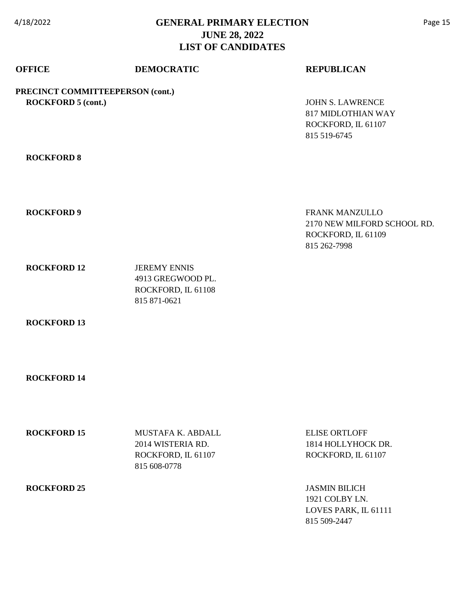| <b>OFFICE</b>                                                 | <b>DEMOCRATIC</b>                                                              | <b>REPUBLICAN</b>                                                                          |
|---------------------------------------------------------------|--------------------------------------------------------------------------------|--------------------------------------------------------------------------------------------|
| PRECINCT COMMITTEEPERSON (cont.)<br><b>ROCKFORD 5 (cont.)</b> |                                                                                | <b>JOHN S. LAWRENCE</b><br><b>817 MIDLOTHIAN WAY</b><br>ROCKFORD, IL 61107<br>815 519-6745 |
| <b>ROCKFORD 8</b>                                             |                                                                                |                                                                                            |
| <b>ROCKFORD 9</b>                                             |                                                                                | FRANK MANZULLO<br>2170 NEW MILFORD SCHOOL RD.<br>ROCKFORD, IL 61109<br>815 262-7998        |
| <b>ROCKFORD 12</b>                                            | <b>JEREMY ENNIS</b><br>4913 GREGWOOD PL.<br>ROCKFORD, IL 61108<br>815 871-0621 |                                                                                            |
| <b>ROCKFORD 13</b>                                            |                                                                                |                                                                                            |
| <b>ROCKFORD 14</b>                                            |                                                                                |                                                                                            |

| <b>ROCKFORD 15</b> | MUSTAFA K. ABDALL<br>2014 WISTERIA RD.<br>ROCKFORD, IL 61107<br>815 608-0778 | <b>ELISE ORTLOFF</b><br>1814 HOLLYHOCK DR.<br>ROCKFORD, IL 61107               |
|--------------------|------------------------------------------------------------------------------|--------------------------------------------------------------------------------|
| <b>ROCKFORD 25</b> |                                                                              | <b>JASMIN BILICH</b><br>1921 COLBY LN.<br>LOVES PARK, IL 61111<br>815 509-2447 |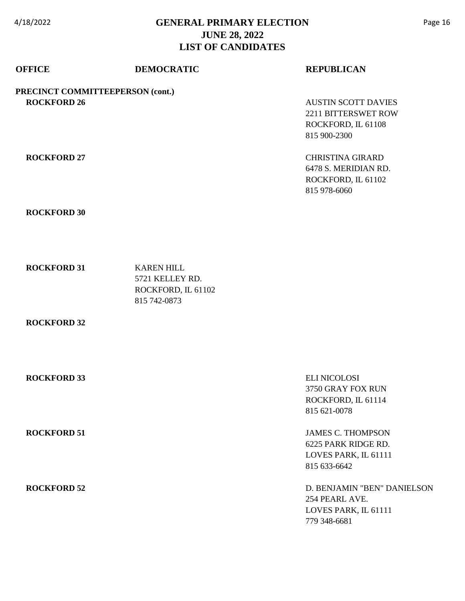| <b>OFFICE</b>                                          | <b>DEMOCRATIC</b>                                                          | <b>REPUBLICAN</b>                                                                       |
|--------------------------------------------------------|----------------------------------------------------------------------------|-----------------------------------------------------------------------------------------|
| PRECINCT COMMITTEEPERSON (cont.)<br><b>ROCKFORD 26</b> |                                                                            | <b>AUSTIN SCOTT DAVIES</b><br>2211 BITTERSWET ROW<br>ROCKFORD, IL 61108<br>815 900-2300 |
| <b>ROCKFORD 27</b>                                     |                                                                            | <b>CHRISTINA GIRARD</b><br>6478 S. MERIDIAN RD.<br>ROCKFORD, IL 61102<br>815 978-6060   |
| <b>ROCKFORD 30</b>                                     |                                                                            |                                                                                         |
| <b>ROCKFORD 31</b>                                     | <b>KAREN HILL</b><br>5721 KELLEY RD.<br>ROCKFORD, IL 61102<br>815 742-0873 |                                                                                         |
| <b>ROCKFORD 32</b>                                     |                                                                            |                                                                                         |
| <b>ROCKFORD 33</b>                                     |                                                                            | <b>ELI NICOLOSI</b><br>3750 GRAY FOX RUN<br>ROCKFORD, IL 61114<br>815 621-0078          |
| <b>ROCKFORD 51</b>                                     |                                                                            | <b>JAMES C. THOMPSON</b><br>6225 PARK RIDGE RD.<br>LOVES PARK, IL 61111<br>815 633-6642 |
| <b>ROCKFORD 52</b>                                     |                                                                            | D. BENJAMIN "BEN" DANIELSON<br>254 PEARL AVE.<br>LOVES PARK, IL 61111<br>779 348-6681   |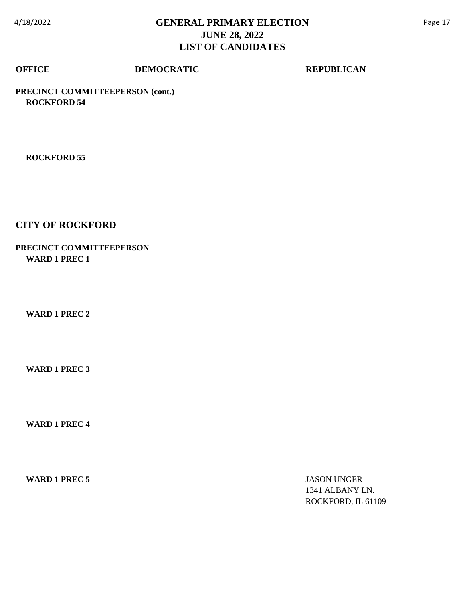## **OFFICE DEMOCRATIC REPUBLICAN**

**PRECINCT COMMITTEEPERSON (cont.) ROCKFORD 54**

 **ROCKFORD 55**

### **CITY OF ROCKFORD**

### **PRECINCT COMMITTEEPERSON WARD 1 PREC 1**

 **WARD 1 PREC 2**

 **WARD 1 PREC 3**

 **WARD 1 PREC 4**

**WARD 1 PREC 5** JASON UNGER

1341 ALBANY LN. ROCKFORD, IL 61109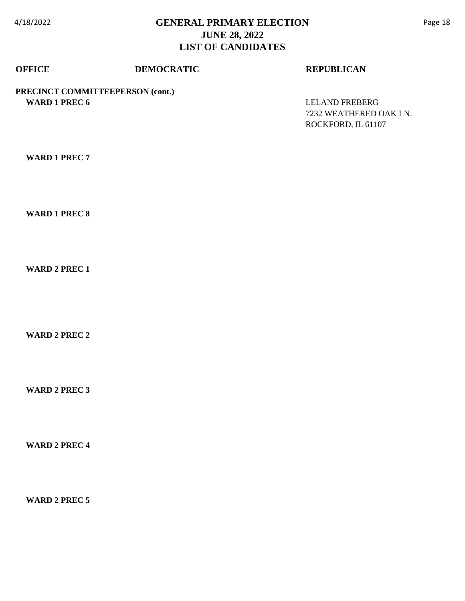### **OFFICE DEMOCRATIC REPUBLICAN**

**PRECINCT COMMITTEEPERSON (cont.) WARD 1 PREC 6** LELAND FREBERG

7232 WEATHERED OAK LN. ROCKFORD, IL 61107

 **WARD 1 PREC 7**

 **WARD 1 PREC 8**

 **WARD 2 PREC 1**

 **WARD 2 PREC 2**

 **WARD 2 PREC 3**

 **WARD 2 PREC 4**

 **WARD 2 PREC 5**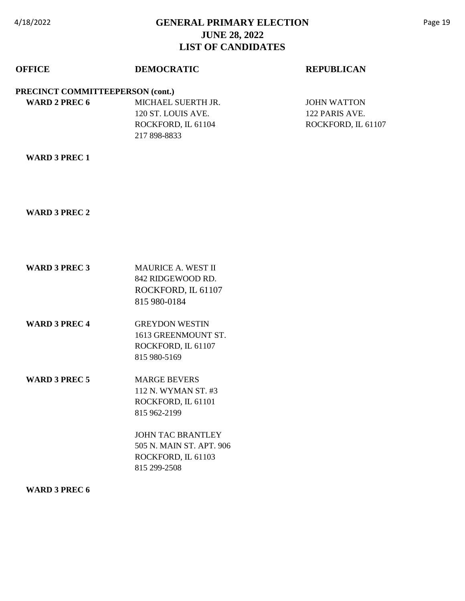| <b>OFFICE</b>                    | <b>DEMOCRATIC</b>  | <b>REPUBLICAN</b>  |
|----------------------------------|--------------------|--------------------|
| PRECINCT COMMITTEEPERSON (cont.) |                    |                    |
| WARD 2 PREC 6                    | MICHAEL SUERTH JR. | JOHN WATTON        |
|                                  | 120 ST. LOUIS AVE. | 122 PARIS AVE.     |
|                                  | ROCKFORD, IL 61104 | ROCKFORD, IL 61107 |
|                                  | 217 898-8833       |                    |
|                                  |                    |                    |

#### **WARD 3 PREC 1**

#### **WARD 3 PREC 2**

- **WARD 3 PREC 3** MAURICE A. WEST II 842 RIDGEWOOD RD. ROCKFORD, IL 61107 815 980-0184
- **WARD 3 PREC 4** GREYDON WESTIN 1613 GREENMOUNT ST. ROCKFORD, IL 61107 815 980-5169
- WARD 3 PREC 5 MARGE BEVERS 112 N. WYMAN ST. #3 ROCKFORD, IL 61101 815 962-2199

JOHN TAC BRANTLEY 505 N. MAIN ST. APT. 906 ROCKFORD, IL 61103 815 299-2508

#### **WARD 3 PREC 6**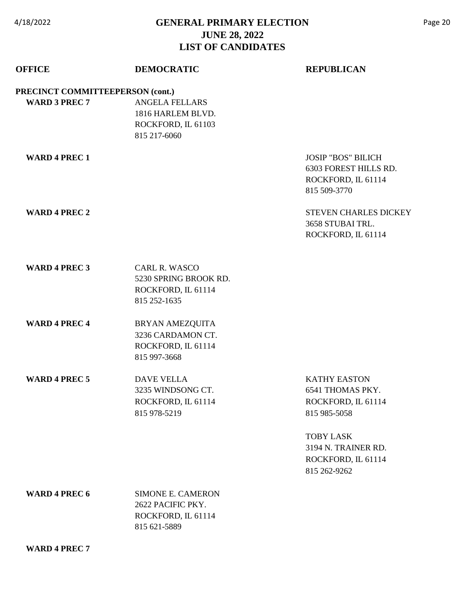| <b>OFFICE</b>                    | <b>DEMOCRATIC</b>                                                                   | <b>REPUBLICAN</b>                                                                        |
|----------------------------------|-------------------------------------------------------------------------------------|------------------------------------------------------------------------------------------|
| PRECINCT COMMITTEEPERSON (cont.) |                                                                                     |                                                                                          |
| <b>WARD 3 PREC 7</b>             | <b>ANGELA FELLARS</b><br>1816 HARLEM BLVD.<br>ROCKFORD, IL 61103<br>815 217-6060    |                                                                                          |
| <b>WARD 4 PREC 1</b>             |                                                                                     | <b>JOSIP "BOS" BILICH</b><br>6303 FOREST HILLS RD.<br>ROCKFORD, IL 61114<br>815 509-3770 |
| <b>WARD 4 PREC 2</b>             |                                                                                     | <b>STEVEN CHARLES DICKEY</b><br>3658 STUBAI TRL.<br>ROCKFORD, IL 61114                   |
| <b>WARD 4 PREC 3</b>             | <b>CARL R. WASCO</b><br>5230 SPRING BROOK RD.<br>ROCKFORD, IL 61114<br>815 252-1635 |                                                                                          |
| <b>WARD 4 PREC 4</b>             | BRYAN AMEZQUITA<br>3236 CARDAMON CT.<br>ROCKFORD, IL 61114<br>815 997-3668          |                                                                                          |
| <b>WARD 4 PREC 5</b>             | <b>DAVE VELLA</b><br>3235 WINDSONG CT.<br>ROCKFORD, IL 61114<br>815 978-5219        | <b>KATHY EASTON</b><br>6541 THOMAS PKY.<br>ROCKFORD, IL 61114<br>815 985-5058            |
|                                  |                                                                                     | <b>TOBY LASK</b><br>3194 N. TRAINER RD.<br>ROCKFORD, IL 61114<br>815 262-9262            |
| <b>WARD 4 PREC 6</b>             | <b>SIMONE E. CAMERON</b><br>2622 PACIFIC PKY.<br>ROCKFORD, IL 61114<br>815 621-5889 |                                                                                          |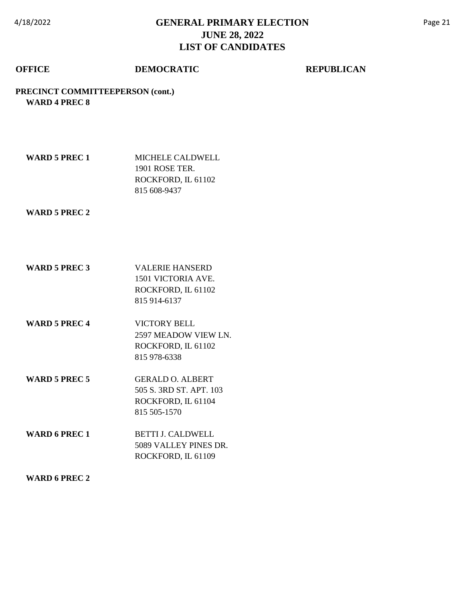### **OFFICE DEMOCRATIC REPUBLICAN**

#### **PRECINCT COMMITTEEPERSON (cont.) WARD 4 PREC 8**

| WARD 5 PREC 1 | MICHELE CALDWELL   |
|---------------|--------------------|
|               | 1901 ROSE TER.     |
|               | ROCKFORD, IL 61102 |
|               | 815 608-9437       |

 **WARD 5 PREC 2**

- **WARD 5 PREC 3** VALERIE HANSERD 1501 VICTORIA AVE. ROCKFORD, IL 61102 815 914-6137
- **WARD 5 PREC 4** VICTORY BELL 2597 MEADOW VIEW LN. ROCKFORD, IL 61102 815 978-6338
- **WARD 5 PREC 5** GERALD O. ALBERT 505 S. 3RD ST. APT. 103 ROCKFORD, IL 61104 815 505-1570
- **WARD 6 PREC 1** BETTI J. CALDWELL 5089 VALLEY PINES DR. ROCKFORD, IL 61109

#### **WARD 6 PREC 2**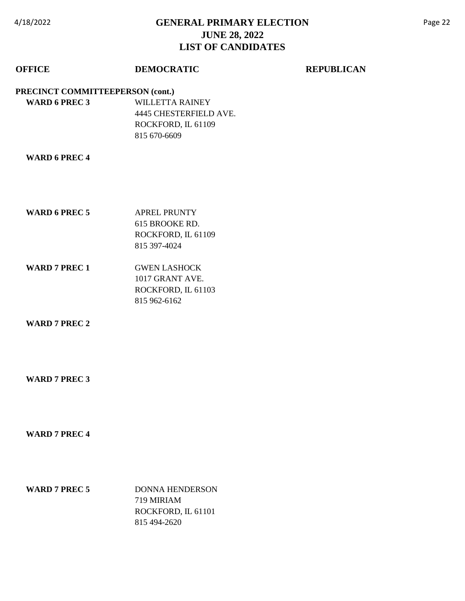## **OFFICE DEMOCRATIC REPUBLICAN**

#### **PRECINCT COMMITTEEPERSON (cont.)**

 **WARD 6 PREC 3** WILLETTA RAINEY 4445 CHESTERFIELD AVE. ROCKFORD, IL 61109 815 670-6609

#### **WARD 6 PREC 4**

- **WARD 6 PREC 5** APREL PRUNTY 615 BROOKE RD. ROCKFORD, IL 61109 815 397-4024
- **WARD 7 PREC 1** GWEN LASHOCK 1017 GRANT AVE. ROCKFORD, IL 61103 815 962-6162

 **WARD 7 PREC 2**

#### **WARD 7 PREC 3**

#### **WARD 7 PREC 4**

**WARD 7 PREC 5** DONNA HENDERSON 719 MIRIAM ROCKFORD, IL 61101 815 494-2620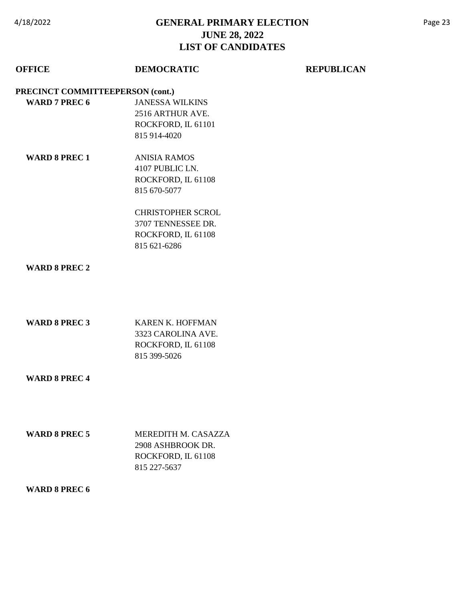## **OFFICE DEMOCRATIC REPUBLICAN**

#### **PRECINCT COMMITTEEPERSON (cont.)**

- **WARD 7 PREC 6** JANESSA WILKINS 2516 ARTHUR AVE. ROCKFORD, IL 61101 815 914-4020
	- **WARD 8 PREC 1** ANISIA RAMOS 4107 PUBLIC LN. ROCKFORD, IL 61108 815 670-5077

CHRISTOPHER SCROL 3707 TENNESSEE DR. ROCKFORD, IL 61108 815 621-6286

#### **WARD 8 PREC 2**

| KAREN K. HOFFMAN   |
|--------------------|
| 3323 CAROLINA AVE. |
| ROCKFORD, IL 61108 |
| 815 399-5026       |
|                    |

#### **WARD 8 PREC 4**

| <b>WARD 8 PREC 5</b> | MEREDITH M. CASAZZA |
|----------------------|---------------------|
|                      | 2908 ASHBROOK DR.   |
|                      | ROCKFORD, IL 61108  |
|                      | 815 227-5637        |

#### **WARD 8 PREC 6**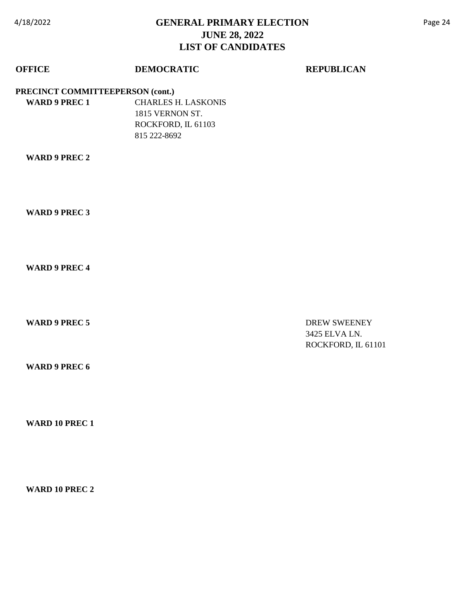### **OFFICE DEMOCRATIC REPUBLICAN**

**PRECINCT COMMITTEEPERSON (cont.)**

 **WARD 9 PREC 1** CHARLES H. LASKONIS 1815 VERNON ST. ROCKFORD, IL 61103 815 222-8692

 **WARD 9 PREC 2**

 **WARD 9 PREC 3**

 **WARD 9 PREC 4**

**WARD 9 PREC 5** DREW SWEENEY 3425 ELVA LN. ROCKFORD, IL 61101

 **WARD 9 PREC 6**

 **WARD 10 PREC 1**

 **WARD 10 PREC 2**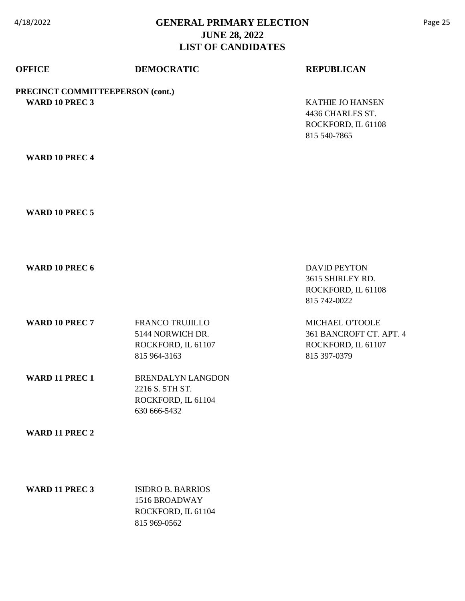| <b>OFFICE</b>                                             | <b>DEMOCRATIC</b>                                                                 | <b>REPUBLICAN</b>                                                                 |
|-----------------------------------------------------------|-----------------------------------------------------------------------------------|-----------------------------------------------------------------------------------|
| PRECINCT COMMITTEEPERSON (cont.)<br><b>WARD 10 PREC 3</b> |                                                                                   | <b>KATHIE JO HANSEN</b><br>4436 CHARLES ST.<br>ROCKFORD, IL 61108<br>815 540-7865 |
| <b>WARD 10 PREC 4</b>                                     |                                                                                   |                                                                                   |
| <b>WARD 10 PREC 5</b>                                     |                                                                                   |                                                                                   |
| <b>WARD 10 PREC 6</b>                                     |                                                                                   | <b>DAVID PEYTON</b><br>3615 SHIRLEY RD.<br>ROCKFORD, IL 61108<br>815 742-0022     |
| WARD 10 PREC 7                                            | <b>FRANCO TRUJILLO</b><br>5144 NORWICH DR.<br>ROCKFORD, IL 61107<br>815 964-3163  | MICHAEL O'TOOLE<br>361 BANCROFT CT. APT. 4<br>ROCKFORD, IL 61107<br>815 397-0379  |
| <b>WARD 11 PREC 1</b>                                     | <b>BRENDALYN LANGDON</b><br>2216 S. 5TH ST.<br>ROCKFORD, IL 61104<br>630 666-5432 |                                                                                   |
| <b>WARD 11 PREC 2</b>                                     |                                                                                   |                                                                                   |
| WARD 11 PREC 3                                            | <b>ISIDRO B. BARRIOS</b><br>1516 BROADWAY<br>ROCKFORD, IL 61104<br>815 969-0562   |                                                                                   |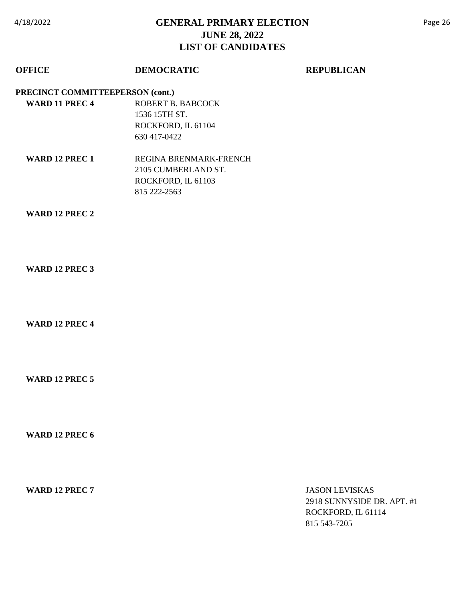### **OFFICE DEMOCRATIC REPUBLICAN**

#### **PRECINCT COMMITTEEPERSON (cont.)**

- **WARD 11 PREC 4** ROBERT B. BABCOCK 1536 15TH ST. ROCKFORD, IL 61104 630 417-0422
	- WARD 12 PREC 1 REGINA BRENMARK-FRENCH 2105 CUMBERLAND ST. ROCKFORD, IL 61103 815 222-2563

#### **WARD 12 PREC 2**

 **WARD 12 PREC 3**

 **WARD 12 PREC 4**

 **WARD 12 PREC 5**

 **WARD 12 PREC 6**

**WARD 12 PREC 7** JASON LEVISKAS 2918 SUNNYSIDE DR. APT. #1 ROCKFORD, IL 61114 815 543-7205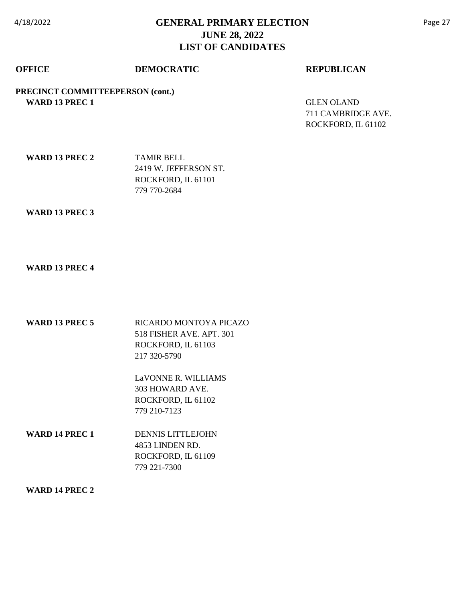### **OFFICE DEMOCRATIC REPUBLICAN**

**PRECINCT COMMITTEEPERSON (cont.) WARD 13 PREC 1** GLEN OLAND

711 CAMBRIDGE AVE. ROCKFORD, IL 61102

| <b>WARD 13 PREC 2</b> | <b>TAMIR BELL</b>     |
|-----------------------|-----------------------|
|                       | 2419 W. JEFFERSON ST. |
|                       | ROCKFORD, IL 61101    |
|                       | 779 770-2684          |

#### **WARD 13 PREC 3**

### **WARD 13 PREC 4**

| <b>WARD 13 PREC 5</b> | RICARDO MONTOYA PICAZO   |
|-----------------------|--------------------------|
|                       | 518 FISHER AVE, APT, 301 |
|                       | ROCKFORD. IL 61103       |
|                       | 217 320-5790             |
|                       |                          |

LaVONNE R. WILLIAMS 303 HOWARD AVE. ROCKFORD, IL 61102 779 210-7123

 **WARD 14 PREC 1** DENNIS LITTLEJOHN 4853 LINDEN RD. ROCKFORD, IL 61109 779 221-7300

 **WARD 14 PREC 2**